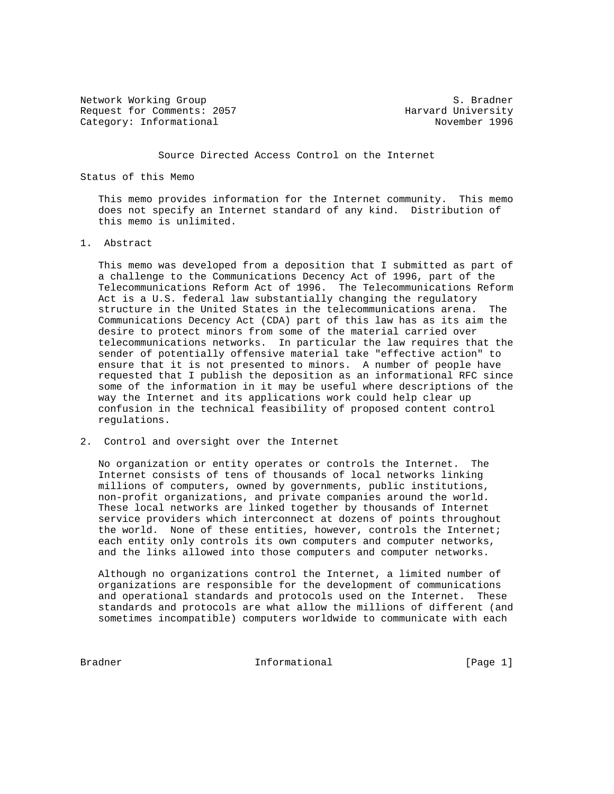Network Working Group S. Bradner Request for Comments: 2057 Category: Informational November 1996

#### Source Directed Access Control on the Internet

# Status of this Memo

 This memo provides information for the Internet community. This memo does not specify an Internet standard of any kind. Distribution of this memo is unlimited.

## 1. Abstract

 This memo was developed from a deposition that I submitted as part of a challenge to the Communications Decency Act of 1996, part of the Telecommunications Reform Act of 1996. The Telecommunications Reform Act is a U.S. federal law substantially changing the regulatory structure in the United States in the telecommunications arena. The Communications Decency Act (CDA) part of this law has as its aim the desire to protect minors from some of the material carried over telecommunications networks. In particular the law requires that the sender of potentially offensive material take "effective action" to ensure that it is not presented to minors. A number of people have requested that I publish the deposition as an informational RFC since some of the information in it may be useful where descriptions of the way the Internet and its applications work could help clear up confusion in the technical feasibility of proposed content control regulations.

## 2. Control and oversight over the Internet

 No organization or entity operates or controls the Internet. The Internet consists of tens of thousands of local networks linking millions of computers, owned by governments, public institutions, non-profit organizations, and private companies around the world. These local networks are linked together by thousands of Internet service providers which interconnect at dozens of points throughout the world. None of these entities, however, controls the Internet; each entity only controls its own computers and computer networks, and the links allowed into those computers and computer networks.

 Although no organizations control the Internet, a limited number of organizations are responsible for the development of communications and operational standards and protocols used on the Internet. These standards and protocols are what allow the millions of different (and sometimes incompatible) computers worldwide to communicate with each

Bradner 1. Informational 1. Informational [Page 1]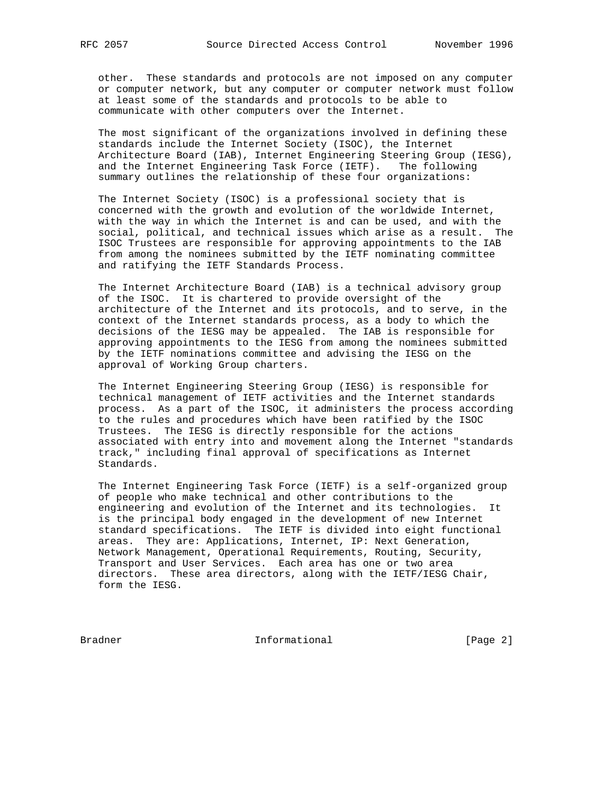other. These standards and protocols are not imposed on any computer or computer network, but any computer or computer network must follow at least some of the standards and protocols to be able to communicate with other computers over the Internet.

 The most significant of the organizations involved in defining these standards include the Internet Society (ISOC), the Internet Architecture Board (IAB), Internet Engineering Steering Group (IESG), and the Internet Engineering Task Force (IETF). The following summary outlines the relationship of these four organizations:

 The Internet Society (ISOC) is a professional society that is concerned with the growth and evolution of the worldwide Internet, with the way in which the Internet is and can be used, and with the social, political, and technical issues which arise as a result. The ISOC Trustees are responsible for approving appointments to the IAB from among the nominees submitted by the IETF nominating committee and ratifying the IETF Standards Process.

 The Internet Architecture Board (IAB) is a technical advisory group of the ISOC. It is chartered to provide oversight of the architecture of the Internet and its protocols, and to serve, in the context of the Internet standards process, as a body to which the decisions of the IESG may be appealed. The IAB is responsible for approving appointments to the IESG from among the nominees submitted by the IETF nominations committee and advising the IESG on the approval of Working Group charters.

 The Internet Engineering Steering Group (IESG) is responsible for technical management of IETF activities and the Internet standards process. As a part of the ISOC, it administers the process according to the rules and procedures which have been ratified by the ISOC Trustees. The IESG is directly responsible for the actions associated with entry into and movement along the Internet "standards track," including final approval of specifications as Internet Standards.

 The Internet Engineering Task Force (IETF) is a self-organized group of people who make technical and other contributions to the engineering and evolution of the Internet and its technologies. It is the principal body engaged in the development of new Internet standard specifications. The IETF is divided into eight functional areas. They are: Applications, Internet, IP: Next Generation, Network Management, Operational Requirements, Routing, Security, Transport and User Services. Each area has one or two area directors. These area directors, along with the IETF/IESG Chair, form the IESG.

Bradner 10 Informational 100 Informational [Page 2]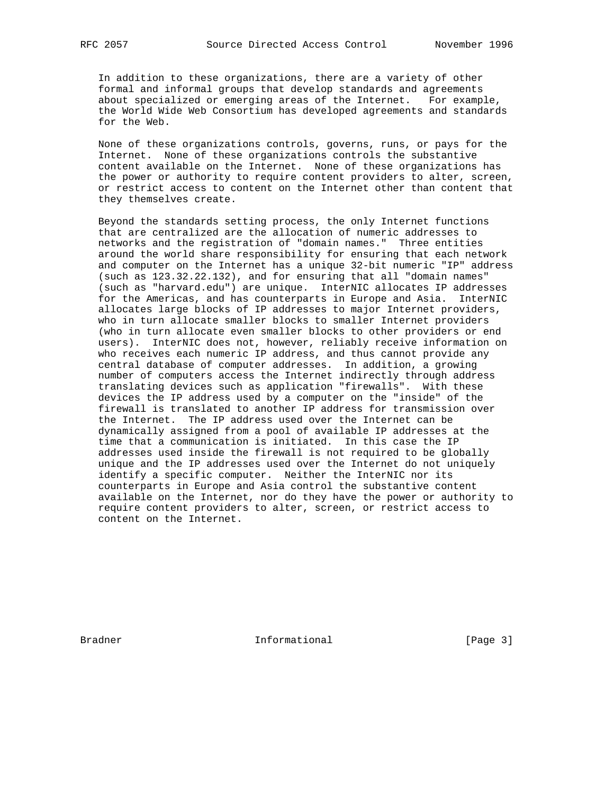In addition to these organizations, there are a variety of other formal and informal groups that develop standards and agreements about specialized or emerging areas of the Internet. For example, the World Wide Web Consortium has developed agreements and standards for the Web.

 None of these organizations controls, governs, runs, or pays for the Internet. None of these organizations controls the substantive content available on the Internet. None of these organizations has the power or authority to require content providers to alter, screen, or restrict access to content on the Internet other than content that they themselves create.

 Beyond the standards setting process, the only Internet functions that are centralized are the allocation of numeric addresses to networks and the registration of "domain names." Three entities around the world share responsibility for ensuring that each network and computer on the Internet has a unique 32-bit numeric "IP" address (such as 123.32.22.132), and for ensuring that all "domain names" (such as "harvard.edu") are unique. InterNIC allocates IP addresses for the Americas, and has counterparts in Europe and Asia. InterNIC allocates large blocks of IP addresses to major Internet providers, who in turn allocate smaller blocks to smaller Internet providers (who in turn allocate even smaller blocks to other providers or end users). InterNIC does not, however, reliably receive information on who receives each numeric IP address, and thus cannot provide any central database of computer addresses. In addition, a growing number of computers access the Internet indirectly through address translating devices such as application "firewalls". With these devices the IP address used by a computer on the "inside" of the firewall is translated to another IP address for transmission over the Internet. The IP address used over the Internet can be dynamically assigned from a pool of available IP addresses at the time that a communication is initiated. In this case the IP addresses used inside the firewall is not required to be globally unique and the IP addresses used over the Internet do not uniquely identify a specific computer. Neither the InterNIC nor its counterparts in Europe and Asia control the substantive content available on the Internet, nor do they have the power or authority to require content providers to alter, screen, or restrict access to content on the Internet.

Bradner 11 Informational 1996 [Page 3]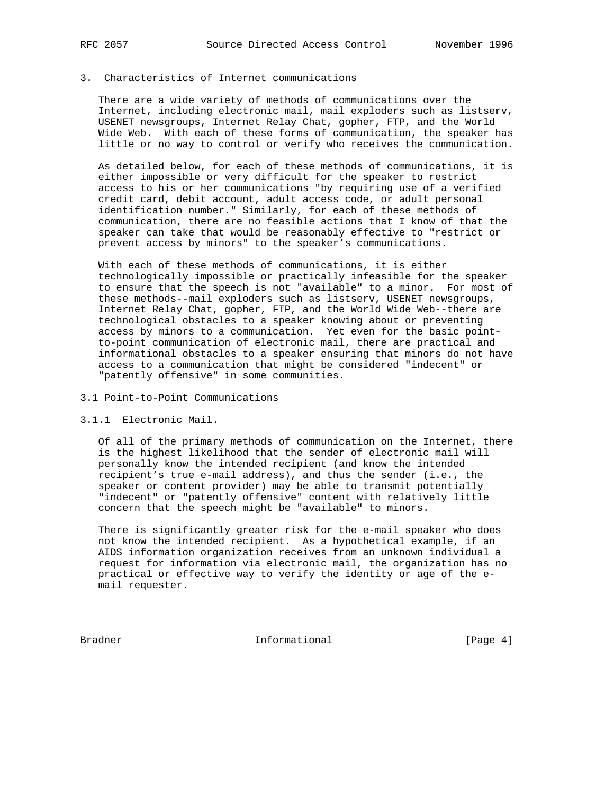# 3. Characteristics of Internet communications

 There are a wide variety of methods of communications over the Internet, including electronic mail, mail exploders such as listserv, USENET newsgroups, Internet Relay Chat, gopher, FTP, and the World Wide Web. With each of these forms of communication, the speaker has little or no way to control or verify who receives the communication.

 As detailed below, for each of these methods of communications, it is either impossible or very difficult for the speaker to restrict access to his or her communications "by requiring use of a verified credit card, debit account, adult access code, or adult personal identification number." Similarly, for each of these methods of communication, there are no feasible actions that I know of that the speaker can take that would be reasonably effective to "restrict or prevent access by minors" to the speaker's communications.

 With each of these methods of communications, it is either technologically impossible or practically infeasible for the speaker to ensure that the speech is not "available" to a minor. For most of these methods--mail exploders such as listserv, USENET newsgroups, Internet Relay Chat, gopher, FTP, and the World Wide Web--there are technological obstacles to a speaker knowing about or preventing access by minors to a communication. Yet even for the basic point to-point communication of electronic mail, there are practical and informational obstacles to a speaker ensuring that minors do not have access to a communication that might be considered "indecent" or "patently offensive" in some communities.

#### 3.1 Point-to-Point Communications

# 3.1.1 Electronic Mail.

 Of all of the primary methods of communication on the Internet, there is the highest likelihood that the sender of electronic mail will personally know the intended recipient (and know the intended recipient's true e-mail address), and thus the sender (i.e., the speaker or content provider) may be able to transmit potentially "indecent" or "patently offensive" content with relatively little concern that the speech might be "available" to minors.

 There is significantly greater risk for the e-mail speaker who does not know the intended recipient. As a hypothetical example, if an AIDS information organization receives from an unknown individual a request for information via electronic mail, the organization has no practical or effective way to verify the identity or age of the e mail requester.

Bradner 10 Informational 100 Informational [Page 4]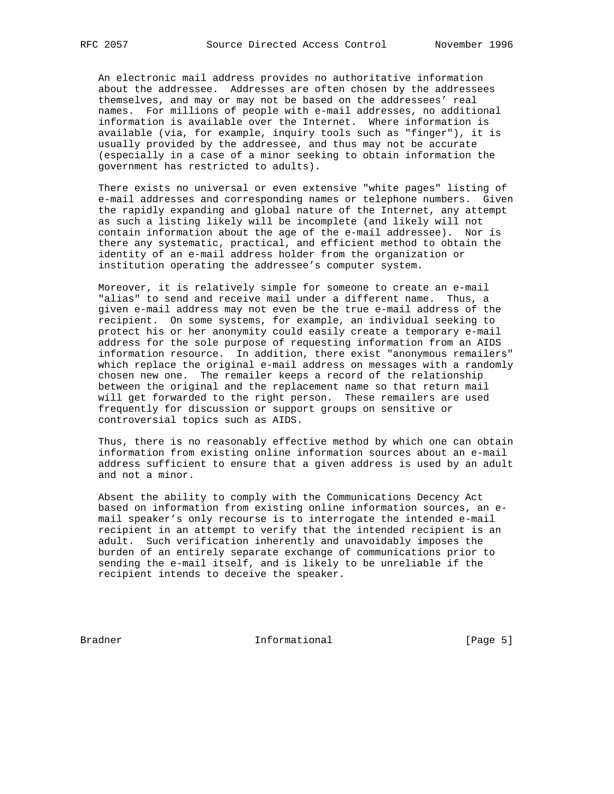An electronic mail address provides no authoritative information about the addressee. Addresses are often chosen by the addressees themselves, and may or may not be based on the addressees' real names. For millions of people with e-mail addresses, no additional information is available over the Internet. Where information is available (via, for example, inquiry tools such as "finger"), it is usually provided by the addressee, and thus may not be accurate (especially in a case of a minor seeking to obtain information the government has restricted to adults).

 There exists no universal or even extensive "white pages" listing of e-mail addresses and corresponding names or telephone numbers. Given the rapidly expanding and global nature of the Internet, any attempt as such a listing likely will be incomplete (and likely will not contain information about the age of the e-mail addressee). Nor is there any systematic, practical, and efficient method to obtain the identity of an e-mail address holder from the organization or institution operating the addressee's computer system.

 Moreover, it is relatively simple for someone to create an e-mail "alias" to send and receive mail under a different name. Thus, a given e-mail address may not even be the true e-mail address of the recipient. On some systems, for example, an individual seeking to protect his or her anonymity could easily create a temporary e-mail address for the sole purpose of requesting information from an AIDS information resource. In addition, there exist "anonymous remailers" which replace the original e-mail address on messages with a randomly chosen new one. The remailer keeps a record of the relationship between the original and the replacement name so that return mail will get forwarded to the right person. These remailers are used frequently for discussion or support groups on sensitive or controversial topics such as AIDS.

 Thus, there is no reasonably effective method by which one can obtain information from existing online information sources about an e-mail address sufficient to ensure that a given address is used by an adult and not a minor.

 Absent the ability to comply with the Communications Decency Act based on information from existing online information sources, an e mail speaker's only recourse is to interrogate the intended e-mail recipient in an attempt to verify that the intended recipient is an adult. Such verification inherently and unavoidably imposes the burden of an entirely separate exchange of communications prior to sending the e-mail itself, and is likely to be unreliable if the recipient intends to deceive the speaker.

Bradner **Informational** Informational [Page 5]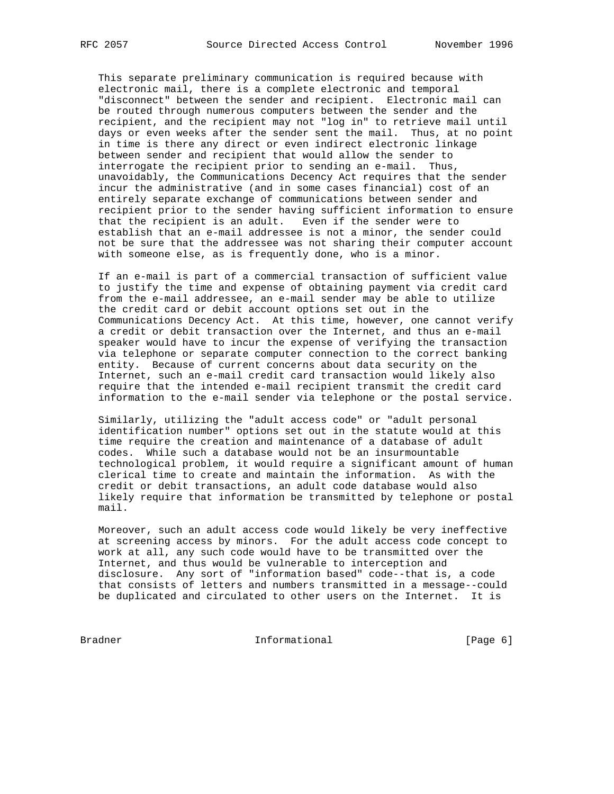This separate preliminary communication is required because with electronic mail, there is a complete electronic and temporal "disconnect" between the sender and recipient. Electronic mail can be routed through numerous computers between the sender and the recipient, and the recipient may not "log in" to retrieve mail until days or even weeks after the sender sent the mail. Thus, at no point in time is there any direct or even indirect electronic linkage between sender and recipient that would allow the sender to interrogate the recipient prior to sending an e-mail. Thus, unavoidably, the Communications Decency Act requires that the sender incur the administrative (and in some cases financial) cost of an entirely separate exchange of communications between sender and recipient prior to the sender having sufficient information to ensure that the recipient is an adult. Even if the sender were to establish that an e-mail addressee is not a minor, the sender could not be sure that the addressee was not sharing their computer account with someone else, as is frequently done, who is a minor.

 If an e-mail is part of a commercial transaction of sufficient value to justify the time and expense of obtaining payment via credit card from the e-mail addressee, an e-mail sender may be able to utilize the credit card or debit account options set out in the Communications Decency Act. At this time, however, one cannot verify a credit or debit transaction over the Internet, and thus an e-mail speaker would have to incur the expense of verifying the transaction via telephone or separate computer connection to the correct banking entity. Because of current concerns about data security on the Internet, such an e-mail credit card transaction would likely also require that the intended e-mail recipient transmit the credit card information to the e-mail sender via telephone or the postal service.

 Similarly, utilizing the "adult access code" or "adult personal identification number" options set out in the statute would at this time require the creation and maintenance of a database of adult codes. While such a database would not be an insurmountable technological problem, it would require a significant amount of human clerical time to create and maintain the information. As with the credit or debit transactions, an adult code database would also likely require that information be transmitted by telephone or postal mail.

 Moreover, such an adult access code would likely be very ineffective at screening access by minors. For the adult access code concept to work at all, any such code would have to be transmitted over the Internet, and thus would be vulnerable to interception and disclosure. Any sort of "information based" code--that is, a code that consists of letters and numbers transmitted in a message--could be duplicated and circulated to other users on the Internet. It is

Bradner **Informational Informational** [Page 6]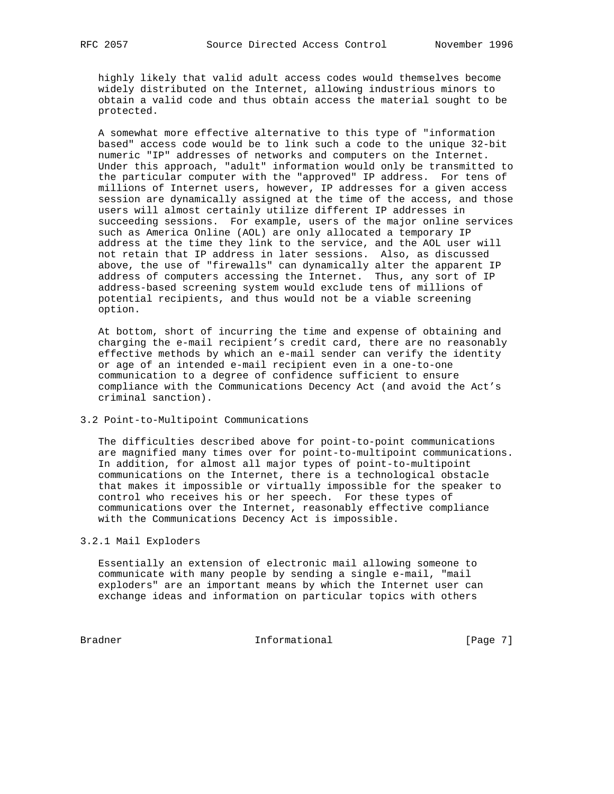highly likely that valid adult access codes would themselves become widely distributed on the Internet, allowing industrious minors to obtain a valid code and thus obtain access the material sought to be protected.

 A somewhat more effective alternative to this type of "information based" access code would be to link such a code to the unique 32-bit numeric "IP" addresses of networks and computers on the Internet. Under this approach, "adult" information would only be transmitted to the particular computer with the "approved" IP address. For tens of millions of Internet users, however, IP addresses for a given access session are dynamically assigned at the time of the access, and those users will almost certainly utilize different IP addresses in succeeding sessions. For example, users of the major online services such as America Online (AOL) are only allocated a temporary IP address at the time they link to the service, and the AOL user will not retain that IP address in later sessions. Also, as discussed above, the use of "firewalls" can dynamically alter the apparent IP address of computers accessing the Internet. Thus, any sort of IP address-based screening system would exclude tens of millions of potential recipients, and thus would not be a viable screening option.

 At bottom, short of incurring the time and expense of obtaining and charging the e-mail recipient's credit card, there are no reasonably effective methods by which an e-mail sender can verify the identity or age of an intended e-mail recipient even in a one-to-one communication to a degree of confidence sufficient to ensure compliance with the Communications Decency Act (and avoid the Act's criminal sanction).

3.2 Point-to-Multipoint Communications

 The difficulties described above for point-to-point communications are magnified many times over for point-to-multipoint communications. In addition, for almost all major types of point-to-multipoint communications on the Internet, there is a technological obstacle that makes it impossible or virtually impossible for the speaker to control who receives his or her speech. For these types of communications over the Internet, reasonably effective compliance with the Communications Decency Act is impossible.

## 3.2.1 Mail Exploders

 Essentially an extension of electronic mail allowing someone to communicate with many people by sending a single e-mail, "mail exploders" are an important means by which the Internet user can exchange ideas and information on particular topics with others

Bradner 111 Informational 1999 [Page 7]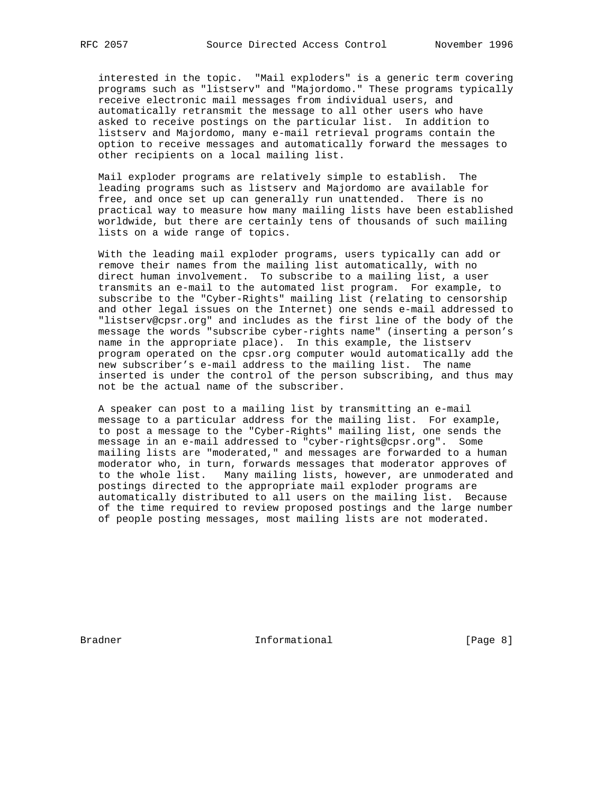interested in the topic. "Mail exploders" is a generic term covering programs such as "listserv" and "Majordomo." These programs typically receive electronic mail messages from individual users, and automatically retransmit the message to all other users who have asked to receive postings on the particular list. In addition to listserv and Majordomo, many e-mail retrieval programs contain the option to receive messages and automatically forward the messages to other recipients on a local mailing list.

 Mail exploder programs are relatively simple to establish. The leading programs such as listserv and Majordomo are available for free, and once set up can generally run unattended. There is no practical way to measure how many mailing lists have been established worldwide, but there are certainly tens of thousands of such mailing lists on a wide range of topics.

 With the leading mail exploder programs, users typically can add or remove their names from the mailing list automatically, with no direct human involvement. To subscribe to a mailing list, a user transmits an e-mail to the automated list program. For example, to subscribe to the "Cyber-Rights" mailing list (relating to censorship and other legal issues on the Internet) one sends e-mail addressed to "listserv@cpsr.org" and includes as the first line of the body of the message the words "subscribe cyber-rights name" (inserting a person's name in the appropriate place). In this example, the listserv program operated on the cpsr.org computer would automatically add the new subscriber's e-mail address to the mailing list. The name inserted is under the control of the person subscribing, and thus may not be the actual name of the subscriber.

 A speaker can post to a mailing list by transmitting an e-mail message to a particular address for the mailing list. For example, to post a message to the "Cyber-Rights" mailing list, one sends the message in an e-mail addressed to "cyber-rights@cpsr.org". Some mailing lists are "moderated," and messages are forwarded to a human moderator who, in turn, forwards messages that moderator approves of to the whole list. Many mailing lists, however, are unmoderated and postings directed to the appropriate mail exploder programs are automatically distributed to all users on the mailing list. Because of the time required to review proposed postings and the large number of people posting messages, most mailing lists are not moderated.

Bradner 11 Informational 1996 [Page 8]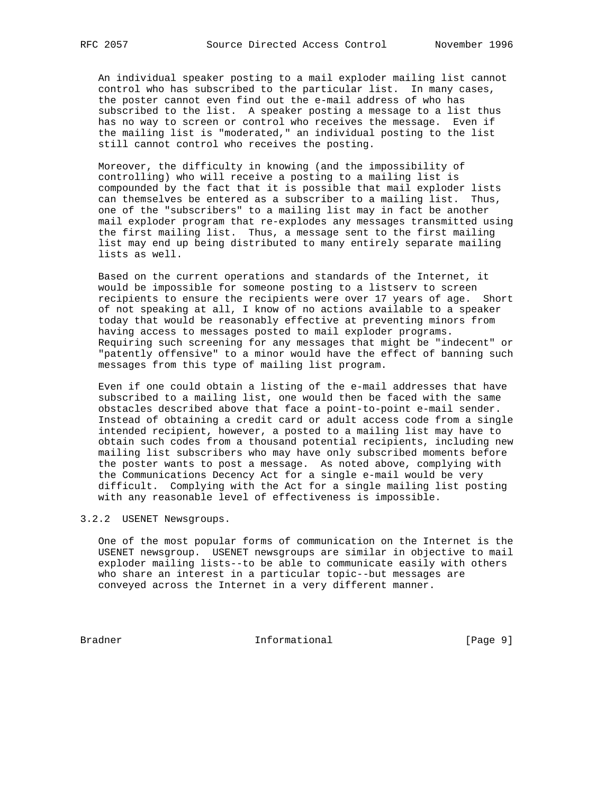An individual speaker posting to a mail exploder mailing list cannot control who has subscribed to the particular list. In many cases, the poster cannot even find out the e-mail address of who has subscribed to the list. A speaker posting a message to a list thus has no way to screen or control who receives the message. Even if the mailing list is "moderated," an individual posting to the list still cannot control who receives the posting.

 Moreover, the difficulty in knowing (and the impossibility of controlling) who will receive a posting to a mailing list is compounded by the fact that it is possible that mail exploder lists can themselves be entered as a subscriber to a mailing list. Thus, one of the "subscribers" to a mailing list may in fact be another mail exploder program that re-explodes any messages transmitted using the first mailing list. Thus, a message sent to the first mailing list may end up being distributed to many entirely separate mailing lists as well.

 Based on the current operations and standards of the Internet, it would be impossible for someone posting to a listserv to screen recipients to ensure the recipients were over 17 years of age. Short of not speaking at all, I know of no actions available to a speaker today that would be reasonably effective at preventing minors from having access to messages posted to mail exploder programs. Requiring such screening for any messages that might be "indecent" or "patently offensive" to a minor would have the effect of banning such messages from this type of mailing list program.

 Even if one could obtain a listing of the e-mail addresses that have subscribed to a mailing list, one would then be faced with the same obstacles described above that face a point-to-point e-mail sender. Instead of obtaining a credit card or adult access code from a single intended recipient, however, a posted to a mailing list may have to obtain such codes from a thousand potential recipients, including new mailing list subscribers who may have only subscribed moments before the poster wants to post a message. As noted above, complying with the Communications Decency Act for a single e-mail would be very difficult. Complying with the Act for a single mailing list posting with any reasonable level of effectiveness is impossible.

3.2.2 USENET Newsgroups.

 One of the most popular forms of communication on the Internet is the USENET newsgroup. USENET newsgroups are similar in objective to mail exploder mailing lists--to be able to communicate easily with others who share an interest in a particular topic--but messages are conveyed across the Internet in a very different manner.

Bradner Informational [Page 9]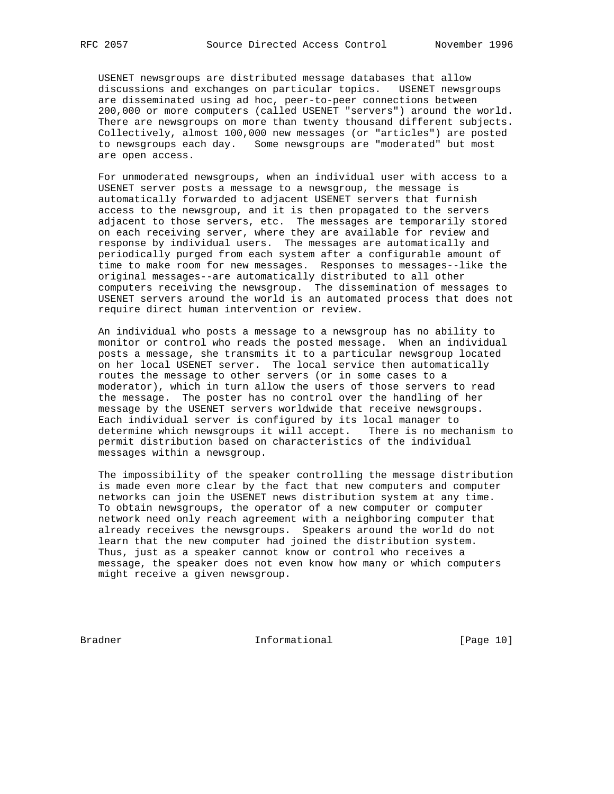USENET newsgroups are distributed message databases that allow discussions and exchanges on particular topics. USENET newsgroups are disseminated using ad hoc, peer-to-peer connections between 200,000 or more computers (called USENET "servers") around the world. There are newsgroups on more than twenty thousand different subjects. Collectively, almost 100,000 new messages (or "articles") are posted to newsgroups each day. Some newsgroups are "moderated" but most are open access.

 For unmoderated newsgroups, when an individual user with access to a USENET server posts a message to a newsgroup, the message is automatically forwarded to adjacent USENET servers that furnish access to the newsgroup, and it is then propagated to the servers adjacent to those servers, etc. The messages are temporarily stored on each receiving server, where they are available for review and response by individual users. The messages are automatically and periodically purged from each system after a configurable amount of time to make room for new messages. Responses to messages--like the original messages--are automatically distributed to all other computers receiving the newsgroup. The dissemination of messages to USENET servers around the world is an automated process that does not require direct human intervention or review.

 An individual who posts a message to a newsgroup has no ability to monitor or control who reads the posted message. When an individual posts a message, she transmits it to a particular newsgroup located on her local USENET server. The local service then automatically routes the message to other servers (or in some cases to a moderator), which in turn allow the users of those servers to read the message. The poster has no control over the handling of her message by the USENET servers worldwide that receive newsgroups. Each individual server is configured by its local manager to determine which newsgroups it will accept. There is no mechanism to permit distribution based on characteristics of the individual messages within a newsgroup.

 The impossibility of the speaker controlling the message distribution is made even more clear by the fact that new computers and computer networks can join the USENET news distribution system at any time. To obtain newsgroups, the operator of a new computer or computer network need only reach agreement with a neighboring computer that already receives the newsgroups. Speakers around the world do not learn that the new computer had joined the distribution system. Thus, just as a speaker cannot know or control who receives a message, the speaker does not even know how many or which computers might receive a given newsgroup.

Bradner 10 1nformational [Page 10]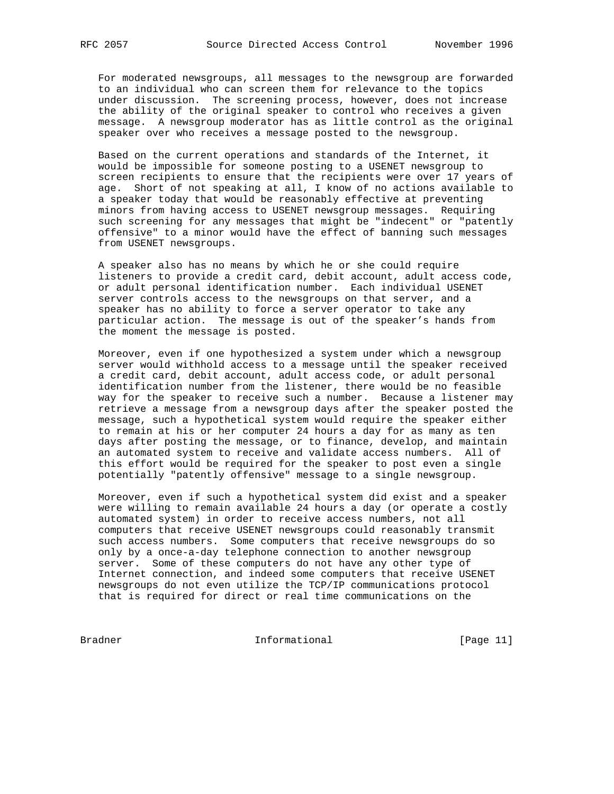For moderated newsgroups, all messages to the newsgroup are forwarded to an individual who can screen them for relevance to the topics under discussion. The screening process, however, does not increase the ability of the original speaker to control who receives a given message. A newsgroup moderator has as little control as the original speaker over who receives a message posted to the newsgroup.

 Based on the current operations and standards of the Internet, it would be impossible for someone posting to a USENET newsgroup to screen recipients to ensure that the recipients were over 17 years of age. Short of not speaking at all, I know of no actions available to a speaker today that would be reasonably effective at preventing minors from having access to USENET newsgroup messages. Requiring such screening for any messages that might be "indecent" or "patently offensive" to a minor would have the effect of banning such messages from USENET newsgroups.

 A speaker also has no means by which he or she could require listeners to provide a credit card, debit account, adult access code, or adult personal identification number. Each individual USENET server controls access to the newsgroups on that server, and a speaker has no ability to force a server operator to take any particular action. The message is out of the speaker's hands from the moment the message is posted.

 Moreover, even if one hypothesized a system under which a newsgroup server would withhold access to a message until the speaker received a credit card, debit account, adult access code, or adult personal identification number from the listener, there would be no feasible way for the speaker to receive such a number. Because a listener may retrieve a message from a newsgroup days after the speaker posted the message, such a hypothetical system would require the speaker either to remain at his or her computer 24 hours a day for as many as ten days after posting the message, or to finance, develop, and maintain an automated system to receive and validate access numbers. All of this effort would be required for the speaker to post even a single potentially "patently offensive" message to a single newsgroup.

 Moreover, even if such a hypothetical system did exist and a speaker were willing to remain available 24 hours a day (or operate a costly automated system) in order to receive access numbers, not all computers that receive USENET newsgroups could reasonably transmit such access numbers. Some computers that receive newsgroups do so only by a once-a-day telephone connection to another newsgroup server. Some of these computers do not have any other type of Internet connection, and indeed some computers that receive USENET newsgroups do not even utilize the TCP/IP communications protocol that is required for direct or real time communications on the

Bradner 11 Informational 1999 [Page 11]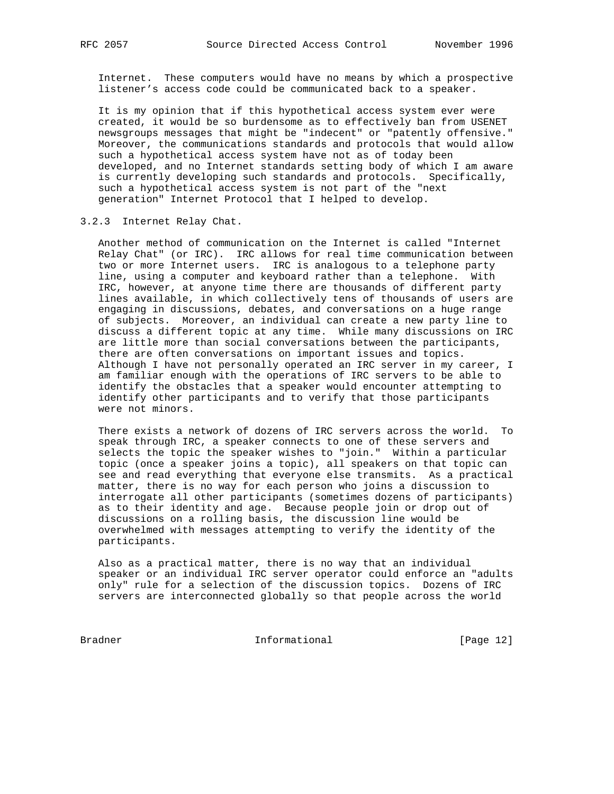Internet. These computers would have no means by which a prospective listener's access code could be communicated back to a speaker.

 It is my opinion that if this hypothetical access system ever were created, it would be so burdensome as to effectively ban from USENET newsgroups messages that might be "indecent" or "patently offensive." Moreover, the communications standards and protocols that would allow such a hypothetical access system have not as of today been developed, and no Internet standards setting body of which I am aware is currently developing such standards and protocols. Specifically, such a hypothetical access system is not part of the "next generation" Internet Protocol that I helped to develop.

#### 3.2.3 Internet Relay Chat.

 Another method of communication on the Internet is called "Internet Relay Chat" (or IRC). IRC allows for real time communication between two or more Internet users. IRC is analogous to a telephone party line, using a computer and keyboard rather than a telephone. With IRC, however, at anyone time there are thousands of different party lines available, in which collectively tens of thousands of users are engaging in discussions, debates, and conversations on a huge range of subjects. Moreover, an individual can create a new party line to discuss a different topic at any time. While many discussions on IRC are little more than social conversations between the participants, there are often conversations on important issues and topics. Although I have not personally operated an IRC server in my career, I am familiar enough with the operations of IRC servers to be able to identify the obstacles that a speaker would encounter attempting to identify other participants and to verify that those participants were not minors.

 There exists a network of dozens of IRC servers across the world. To speak through IRC, a speaker connects to one of these servers and selects the topic the speaker wishes to "join." Within a particular topic (once a speaker joins a topic), all speakers on that topic can see and read everything that everyone else transmits. As a practical matter, there is no way for each person who joins a discussion to interrogate all other participants (sometimes dozens of participants) as to their identity and age. Because people join or drop out of discussions on a rolling basis, the discussion line would be overwhelmed with messages attempting to verify the identity of the participants.

 Also as a practical matter, there is no way that an individual speaker or an individual IRC server operator could enforce an "adults only" rule for a selection of the discussion topics. Dozens of IRC servers are interconnected globally so that people across the world

Bradner Informational [Page 12]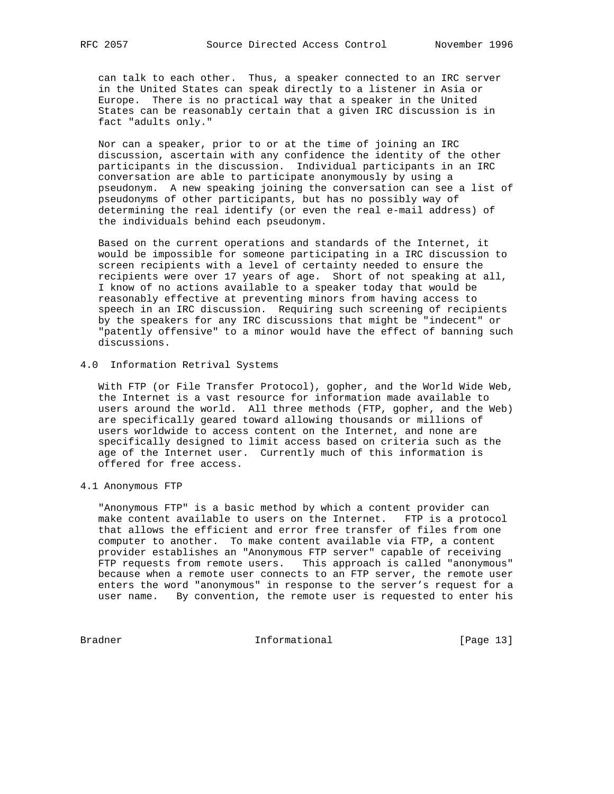can talk to each other. Thus, a speaker connected to an IRC server in the United States can speak directly to a listener in Asia or Europe. There is no practical way that a speaker in the United States can be reasonably certain that a given IRC discussion is in fact "adults only."

 Nor can a speaker, prior to or at the time of joining an IRC discussion, ascertain with any confidence the identity of the other participants in the discussion. Individual participants in an IRC conversation are able to participate anonymously by using a pseudonym. A new speaking joining the conversation can see a list of pseudonyms of other participants, but has no possibly way of determining the real identify (or even the real e-mail address) of the individuals behind each pseudonym.

 Based on the current operations and standards of the Internet, it would be impossible for someone participating in a IRC discussion to screen recipients with a level of certainty needed to ensure the recipients were over 17 years of age. Short of not speaking at all, I know of no actions available to a speaker today that would be reasonably effective at preventing minors from having access to speech in an IRC discussion. Requiring such screening of recipients by the speakers for any IRC discussions that might be "indecent" or "patently offensive" to a minor would have the effect of banning such discussions.

# 4.0 Information Retrival Systems

 With FTP (or File Transfer Protocol), gopher, and the World Wide Web, the Internet is a vast resource for information made available to users around the world. All three methods (FTP, gopher, and the Web) are specifically geared toward allowing thousands or millions of users worldwide to access content on the Internet, and none are specifically designed to limit access based on criteria such as the age of the Internet user. Currently much of this information is offered for free access.

4.1 Anonymous FTP

 "Anonymous FTP" is a basic method by which a content provider can make content available to users on the Internet. FTP is a protocol that allows the efficient and error free transfer of files from one computer to another. To make content available via FTP, a content provider establishes an "Anonymous FTP server" capable of receiving FTP requests from remote users. This approach is called "anonymous" because when a remote user connects to an FTP server, the remote user enters the word "anonymous" in response to the server's request for a user name. By convention, the remote user is requested to enter his

Bradner 131 Informational 1999 [Page 13]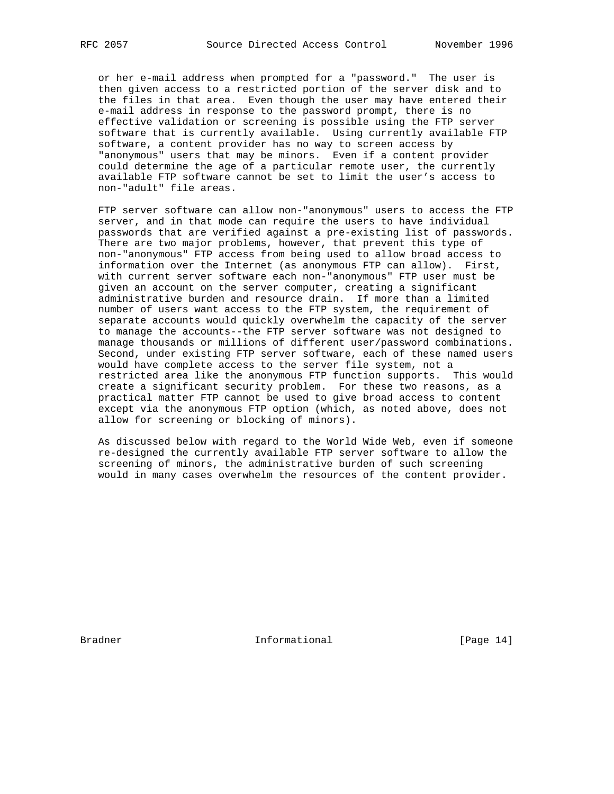or her e-mail address when prompted for a "password." The user is then given access to a restricted portion of the server disk and to the files in that area. Even though the user may have entered their e-mail address in response to the password prompt, there is no effective validation or screening is possible using the FTP server software that is currently available. Using currently available FTP software, a content provider has no way to screen access by "anonymous" users that may be minors. Even if a content provider could determine the age of a particular remote user, the currently available FTP software cannot be set to limit the user's access to non-"adult" file areas.

 FTP server software can allow non-"anonymous" users to access the FTP server, and in that mode can require the users to have individual passwords that are verified against a pre-existing list of passwords. There are two major problems, however, that prevent this type of non-"anonymous" FTP access from being used to allow broad access to information over the Internet (as anonymous FTP can allow). First, with current server software each non-"anonymous" FTP user must be given an account on the server computer, creating a significant administrative burden and resource drain. If more than a limited number of users want access to the FTP system, the requirement of separate accounts would quickly overwhelm the capacity of the server to manage the accounts--the FTP server software was not designed to manage thousands or millions of different user/password combinations. Second, under existing FTP server software, each of these named users would have complete access to the server file system, not a restricted area like the anonymous FTP function supports. This would create a significant security problem. For these two reasons, as a practical matter FTP cannot be used to give broad access to content except via the anonymous FTP option (which, as noted above, does not allow for screening or blocking of minors).

 As discussed below with regard to the World Wide Web, even if someone re-designed the currently available FTP server software to allow the screening of minors, the administrative burden of such screening would in many cases overwhelm the resources of the content provider.

Bradner 11 Informational [Page 14]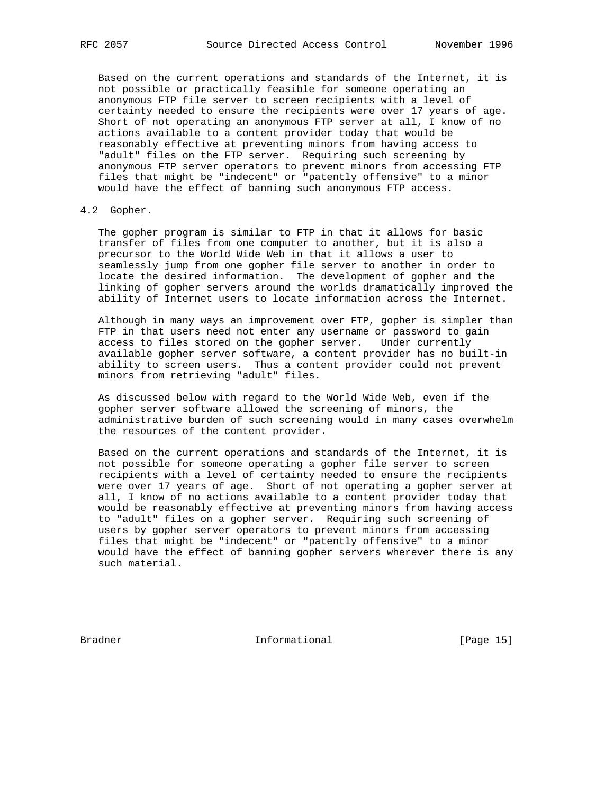Based on the current operations and standards of the Internet, it is not possible or practically feasible for someone operating an anonymous FTP file server to screen recipients with a level of certainty needed to ensure the recipients were over 17 years of age. Short of not operating an anonymous FTP server at all, I know of no actions available to a content provider today that would be reasonably effective at preventing minors from having access to "adult" files on the FTP server. Requiring such screening by anonymous FTP server operators to prevent minors from accessing FTP files that might be "indecent" or "patently offensive" to a minor would have the effect of banning such anonymous FTP access.

## 4.2 Gopher.

 The gopher program is similar to FTP in that it allows for basic transfer of files from one computer to another, but it is also a precursor to the World Wide Web in that it allows a user to seamlessly jump from one gopher file server to another in order to locate the desired information. The development of gopher and the linking of gopher servers around the worlds dramatically improved the ability of Internet users to locate information across the Internet.

 Although in many ways an improvement over FTP, gopher is simpler than FTP in that users need not enter any username or password to gain access to files stored on the gopher server. Under currently available gopher server software, a content provider has no built-in ability to screen users. Thus a content provider could not prevent minors from retrieving "adult" files.

 As discussed below with regard to the World Wide Web, even if the gopher server software allowed the screening of minors, the administrative burden of such screening would in many cases overwhelm the resources of the content provider.

 Based on the current operations and standards of the Internet, it is not possible for someone operating a gopher file server to screen recipients with a level of certainty needed to ensure the recipients were over 17 years of age. Short of not operating a gopher server at all, I know of no actions available to a content provider today that would be reasonably effective at preventing minors from having access to "adult" files on a gopher server. Requiring such screening of users by gopher server operators to prevent minors from accessing files that might be "indecent" or "patently offensive" to a minor would have the effect of banning gopher servers wherever there is any such material.

Bradner 1986 Informational 1986 (Page 15)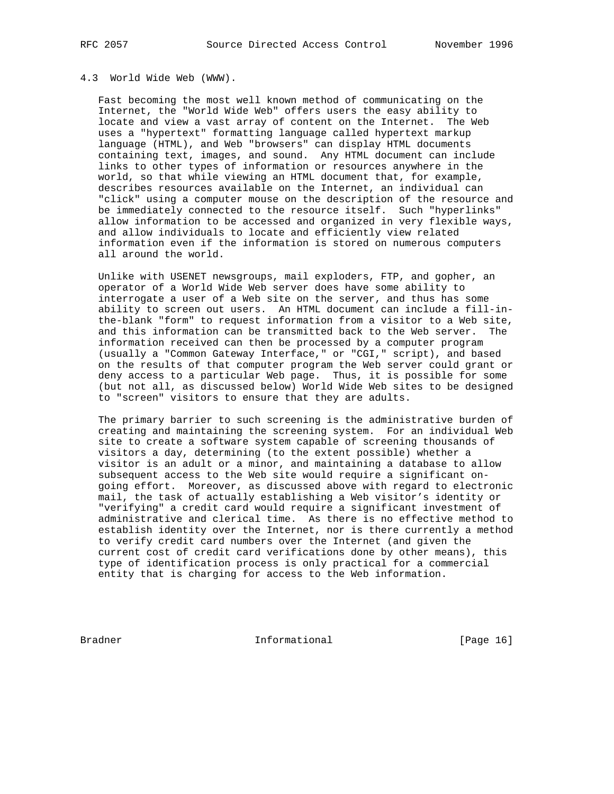#### 4.3 World Wide Web (WWW).

 Fast becoming the most well known method of communicating on the Internet, the "World Wide Web" offers users the easy ability to locate and view a vast array of content on the Internet. The Web uses a "hypertext" formatting language called hypertext markup language (HTML), and Web "browsers" can display HTML documents containing text, images, and sound. Any HTML document can include links to other types of information or resources anywhere in the world, so that while viewing an HTML document that, for example, describes resources available on the Internet, an individual can "click" using a computer mouse on the description of the resource and be immediately connected to the resource itself. Such "hyperlinks" allow information to be accessed and organized in very flexible ways, and allow individuals to locate and efficiently view related information even if the information is stored on numerous computers all around the world.

 Unlike with USENET newsgroups, mail exploders, FTP, and gopher, an operator of a World Wide Web server does have some ability to interrogate a user of a Web site on the server, and thus has some ability to screen out users. An HTML document can include a fill-in the-blank "form" to request information from a visitor to a Web site, and this information can be transmitted back to the Web server. The information received can then be processed by a computer program (usually a "Common Gateway Interface," or "CGI," script), and based on the results of that computer program the Web server could grant or deny access to a particular Web page. Thus, it is possible for some (but not all, as discussed below) World Wide Web sites to be designed to "screen" visitors to ensure that they are adults.

 The primary barrier to such screening is the administrative burden of creating and maintaining the screening system. For an individual Web site to create a software system capable of screening thousands of visitors a day, determining (to the extent possible) whether a visitor is an adult or a minor, and maintaining a database to allow subsequent access to the Web site would require a significant on going effort. Moreover, as discussed above with regard to electronic mail, the task of actually establishing a Web visitor's identity or "verifying" a credit card would require a significant investment of administrative and clerical time. As there is no effective method to establish identity over the Internet, nor is there currently a method to verify credit card numbers over the Internet (and given the current cost of credit card verifications done by other means), this type of identification process is only practical for a commercial entity that is charging for access to the Web information.

Bradner 1. Informational [Page 16]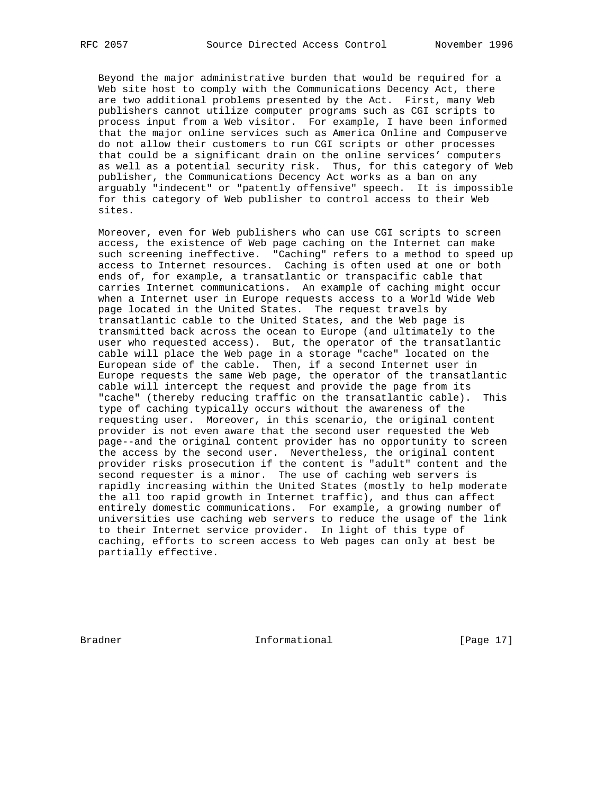Beyond the major administrative burden that would be required for a Web site host to comply with the Communications Decency Act, there are two additional problems presented by the Act. First, many Web publishers cannot utilize computer programs such as CGI scripts to process input from a Web visitor. For example, I have been informed that the major online services such as America Online and Compuserve do not allow their customers to run CGI scripts or other processes that could be a significant drain on the online services' computers as well as a potential security risk. Thus, for this category of Web publisher, the Communications Decency Act works as a ban on any arguably "indecent" or "patently offensive" speech. It is impossible for this category of Web publisher to control access to their Web sites.

 Moreover, even for Web publishers who can use CGI scripts to screen access, the existence of Web page caching on the Internet can make such screening ineffective. "Caching" refers to a method to speed up access to Internet resources. Caching is often used at one or both ends of, for example, a transatlantic or transpacific cable that carries Internet communications. An example of caching might occur when a Internet user in Europe requests access to a World Wide Web page located in the United States. The request travels by transatlantic cable to the United States, and the Web page is transmitted back across the ocean to Europe (and ultimately to the user who requested access). But, the operator of the transatlantic cable will place the Web page in a storage "cache" located on the European side of the cable. Then, if a second Internet user in Europe requests the same Web page, the operator of the transatlantic cable will intercept the request and provide the page from its "cache" (thereby reducing traffic on the transatlantic cable). This type of caching typically occurs without the awareness of the requesting user. Moreover, in this scenario, the original content provider is not even aware that the second user requested the Web page--and the original content provider has no opportunity to screen the access by the second user. Nevertheless, the original content provider risks prosecution if the content is "adult" content and the second requester is a minor. The use of caching web servers is rapidly increasing within the United States (mostly to help moderate the all too rapid growth in Internet traffic), and thus can affect entirely domestic communications. For example, a growing number of universities use caching web servers to reduce the usage of the link to their Internet service provider. In light of this type of caching, efforts to screen access to Web pages can only at best be partially effective.

Bradner 11 Informational [Page 17]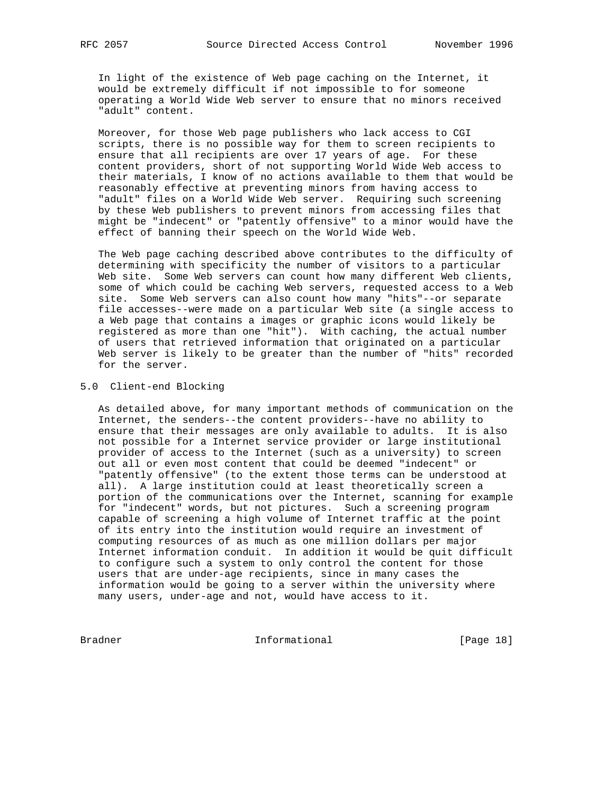In light of the existence of Web page caching on the Internet, it would be extremely difficult if not impossible to for someone operating a World Wide Web server to ensure that no minors received "adult" content.

 Moreover, for those Web page publishers who lack access to CGI scripts, there is no possible way for them to screen recipients to ensure that all recipients are over 17 years of age. For these content providers, short of not supporting World Wide Web access to their materials, I know of no actions available to them that would be reasonably effective at preventing minors from having access to "adult" files on a World Wide Web server. Requiring such screening by these Web publishers to prevent minors from accessing files that might be "indecent" or "patently offensive" to a minor would have the effect of banning their speech on the World Wide Web.

 The Web page caching described above contributes to the difficulty of determining with specificity the number of visitors to a particular Web site. Some Web servers can count how many different Web clients, some of which could be caching Web servers, requested access to a Web site. Some Web servers can also count how many "hits"--or separate file accesses--were made on a particular Web site (a single access to a Web page that contains a images or graphic icons would likely be registered as more than one "hit"). With caching, the actual number of users that retrieved information that originated on a particular Web server is likely to be greater than the number of "hits" recorded for the server.

## 5.0 Client-end Blocking

 As detailed above, for many important methods of communication on the Internet, the senders--the content providers--have no ability to ensure that their messages are only available to adults. It is also not possible for a Internet service provider or large institutional provider of access to the Internet (such as a university) to screen out all or even most content that could be deemed "indecent" or "patently offensive" (to the extent those terms can be understood at all). A large institution could at least theoretically screen a portion of the communications over the Internet, scanning for example for "indecent" words, but not pictures. Such a screening program capable of screening a high volume of Internet traffic at the point of its entry into the institution would require an investment of computing resources of as much as one million dollars per major Internet information conduit. In addition it would be quit difficult to configure such a system to only control the content for those users that are under-age recipients, since in many cases the information would be going to a server within the university where many users, under-age and not, would have access to it.

Bradner 19 and 10 Informational 1999 [Page 18]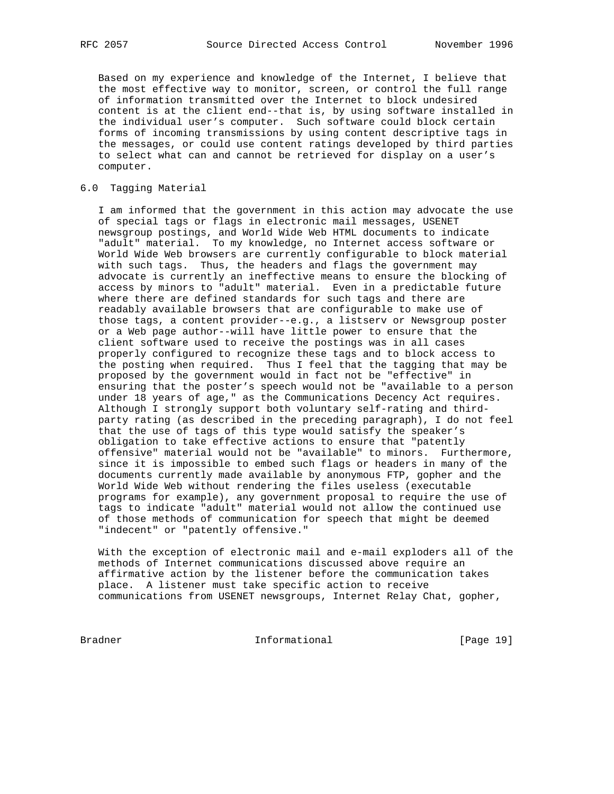Based on my experience and knowledge of the Internet, I believe that the most effective way to monitor, screen, or control the full range of information transmitted over the Internet to block undesired content is at the client end--that is, by using software installed in the individual user's computer. Such software could block certain forms of incoming transmissions by using content descriptive tags in the messages, or could use content ratings developed by third parties to select what can and cannot be retrieved for display on a user's computer.

# 6.0 Tagging Material

 I am informed that the government in this action may advocate the use of special tags or flags in electronic mail messages, USENET newsgroup postings, and World Wide Web HTML documents to indicate "adult" material. To my knowledge, no Internet access software or World Wide Web browsers are currently configurable to block material with such tags. Thus, the headers and flags the government may advocate is currently an ineffective means to ensure the blocking of access by minors to "adult" material. Even in a predictable future where there are defined standards for such tags and there are readably available browsers that are configurable to make use of those tags, a content provider--e.g., a listserv or Newsgroup poster or a Web page author--will have little power to ensure that the client software used to receive the postings was in all cases properly configured to recognize these tags and to block access to the posting when required. Thus I feel that the tagging that may be proposed by the government would in fact not be "effective" in ensuring that the poster's speech would not be "available to a person under 18 years of age," as the Communications Decency Act requires. Although I strongly support both voluntary self-rating and third party rating (as described in the preceding paragraph), I do not feel that the use of tags of this type would satisfy the speaker's obligation to take effective actions to ensure that "patently offensive" material would not be "available" to minors. Furthermore, since it is impossible to embed such flags or headers in many of the documents currently made available by anonymous FTP, gopher and the World Wide Web without rendering the files useless (executable programs for example), any government proposal to require the use of tags to indicate "adult" material would not allow the continued use of those methods of communication for speech that might be deemed "indecent" or "patently offensive."

 With the exception of electronic mail and e-mail exploders all of the methods of Internet communications discussed above require an affirmative action by the listener before the communication takes place. A listener must take specific action to receive communications from USENET newsgroups, Internet Relay Chat, gopher,

Bradner 191